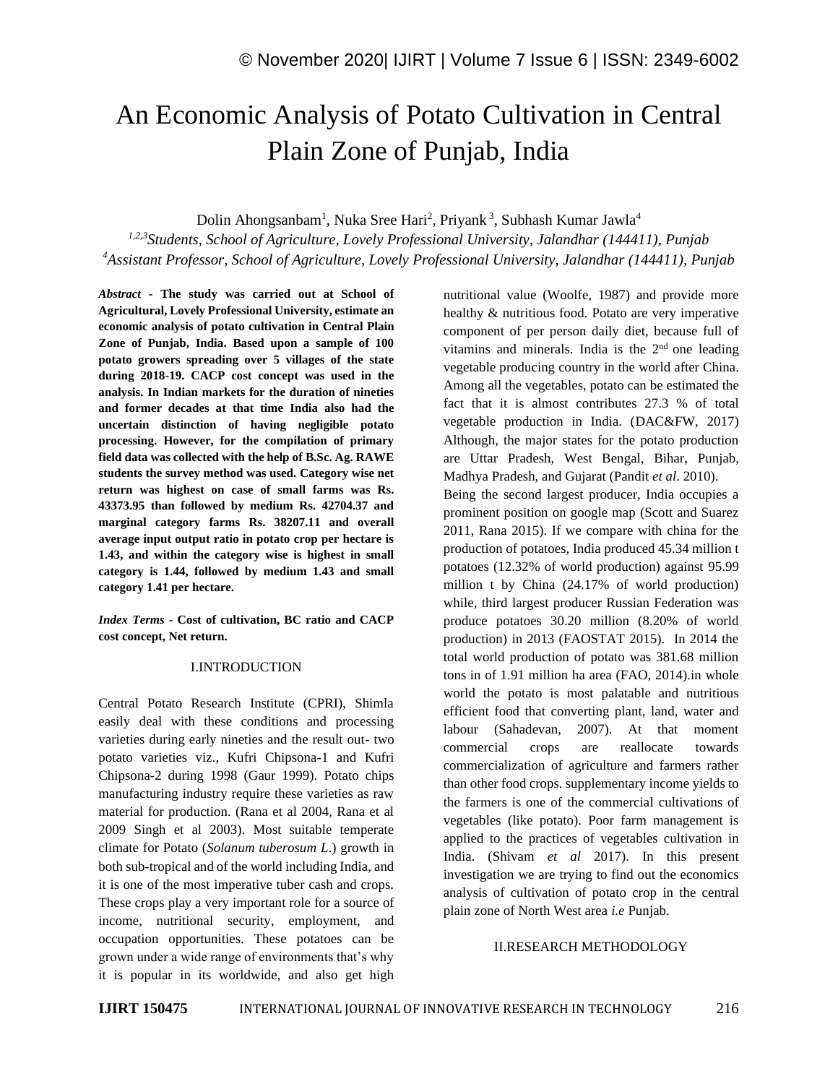# An Economic Analysis of Potato Cultivation in Central Plain Zone of Punjab, India

Dolin Ahongsanbam<sup>1</sup>, Nuka Sree Hari<sup>2</sup>, Priyank<sup>3</sup>, Subhash Kumar Jawla<sup>4</sup>

*1,2,3 Students, School of Agriculture, Lovely Professional University, Jalandhar (144411), Punjab <sup>4</sup>Assistant Professor, School of Agriculture, Lovely Professional University, Jalandhar (144411), Punjab* 

*Abstract -* **The study was carried out at School of Agricultural, Lovely Professional University, estimate an economic analysis of potato cultivation in Central Plain Zone of Punjab, India. Based upon a sample of 100 potato growers spreading over 5 villages of the state during 2018-19. CACP cost concept was used in the analysis. In Indian markets for the duration of nineties and former decades at that time India also had the uncertain distinction of having negligible potato processing. However, for the compilation of primary field data was collected with the help of B.Sc. Ag. RAWE students the survey method was used. Category wise net return was highest on case of small farms was Rs. 43373.95 than followed by medium Rs. 42704.37 and marginal category farms Rs. 38207.11 and overall average input output ratio in potato crop per hectare is 1.43, and within the category wise is highest in small category is 1.44, followed by medium 1.43 and small category 1.41 per hectare.**

*Index Terms -* **Cost of cultivation, BC ratio and CACP cost concept, Net return.**

#### I.INTRODUCTION

Central Potato Research Institute (CPRI), Shimla easily deal with these conditions and processing varieties during early nineties and the result out- two potato varieties viz., Kufri Chipsona-1 and Kufri Chipsona-2 during 1998 (Gaur 1999). Potato chips manufacturing industry require these varieties as raw material for production. (Rana et al 2004, Rana et al 2009 Singh et al 2003). Most suitable temperate climate for Potato (*Solanum tuberosum L*.) growth in both sub-tropical and of the world including India, and it is one of the most imperative tuber cash and crops. These crops play a very important role for a source of income, nutritional security, employment, and occupation opportunities. These potatoes can be grown under a wide range of environments that's why it is popular in its worldwide, and also get high nutritional value (Woolfe, 1987) and provide more healthy & nutritious food. Potato are very imperative component of per person daily diet, because full of vitamins and minerals. India is the  $2<sup>nd</sup>$  one leading vegetable producing country in the world after China. Among all the vegetables, potato can be estimated the fact that it is almost contributes 27.3 % of total vegetable production in India. (DAC&FW, 2017) Although, the major states for the potato production are Uttar Pradesh, West Bengal, Bihar, Punjab, Madhya Pradesh, and Gujarat (Pandit *et al*. 2010).

Being the second largest producer, India occupies a prominent position on google map (Scott and Suarez 2011, Rana 2015). If we compare with china for the production of potatoes, India produced 45.34 million t potatoes (12.32% of world production) against 95.99 million t by China (24.17% of world production) while, third largest producer Russian Federation was produce potatoes 30.20 million (8.20% of world production) in 2013 (FAOSTAT 2015). In 2014 the total world production of potato was 381.68 million tons in of 1.91 million ha area (FAO, 2014).in whole world the potato is most palatable and nutritious efficient food that converting plant, land, water and labour (Sahadevan, 2007). At that moment commercial crops are reallocate towards commercialization of agriculture and farmers rather than other food crops. supplementary income yields to the farmers is one of the commercial cultivations of vegetables (like potato). Poor farm management is applied to the practices of vegetables cultivation in India. (Shivam *et al* 2017). In this present investigation we are trying to find out the economics analysis of cultivation of potato crop in the central plain zone of North West area *i.e* Punjab.

#### II.RESEARCH METHODOLOGY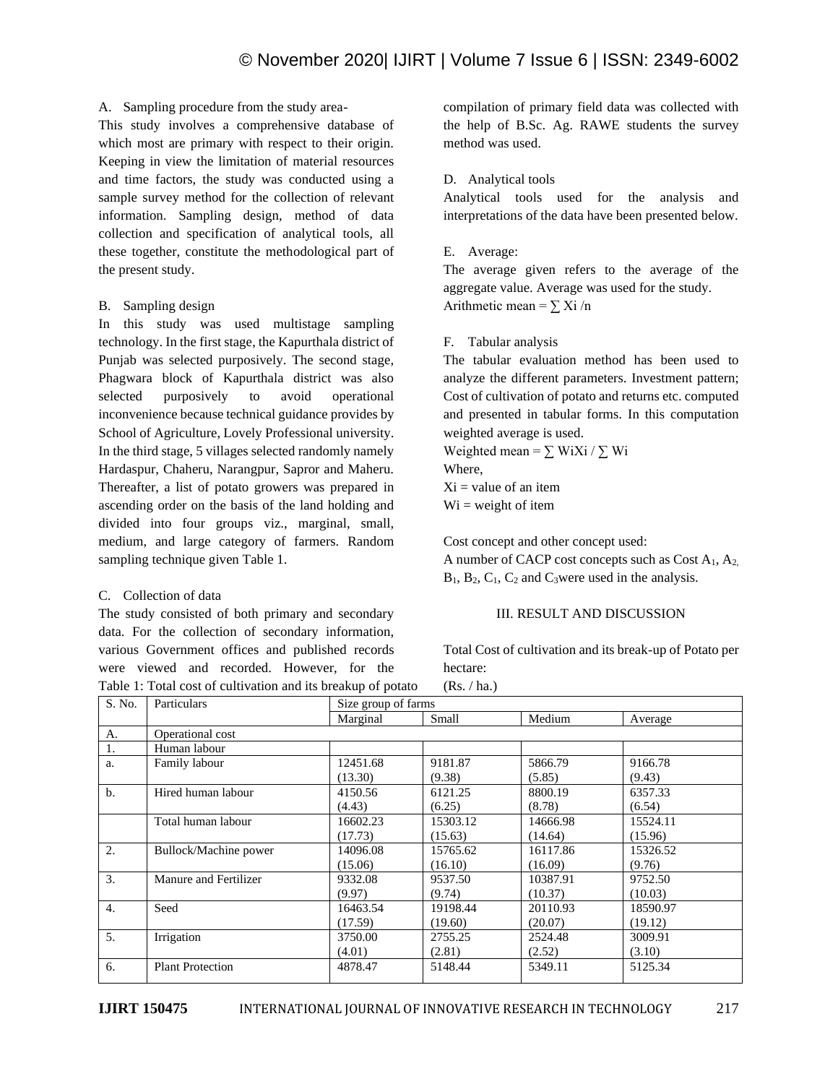### A. Sampling procedure from the study area-

This study involves a comprehensive database of which most are primary with respect to their origin. Keeping in view the limitation of material resources and time factors, the study was conducted using a sample survey method for the collection of relevant information. Sampling design, method of data collection and specification of analytical tools, all these together, constitute the methodological part of the present study.

#### B. Sampling design

In this study was used multistage sampling technology. In the first stage, the Kapurthala district of Punjab was selected purposively. The second stage, Phagwara block of Kapurthala district was also selected purposively to avoid operational inconvenience because technical guidance provides by School of Agriculture, Lovely Professional university. In the third stage, 5 villages selected randomly namely Hardaspur, Chaheru, Narangpur, Sapror and Maheru. Thereafter, a list of potato growers was prepared in ascending order on the basis of the land holding and divided into four groups viz., marginal, small, medium, and large category of farmers. Random sampling technique given Table 1.

#### C. Collection of data

The study consisted of both primary and secondary data. For the collection of secondary information, various Government offices and published records were viewed and recorded. However, for the Table 1: Total cost of cultivation and its breakup of potato (Rs. / ha.)

compilation of primary field data was collected with the help of B.Sc. Ag. RAWE students the survey method was used.

#### D. Analytical tools

Analytical tools used for the analysis and interpretations of the data have been presented below.

#### E. Average:

The average given refers to the average of the aggregate value. Average was used for the study. Arithmetic mean =  $\Sigma$  Xi /n

#### F. Tabular analysis

The tabular evaluation method has been used to analyze the different parameters. Investment pattern; Cost of cultivation of potato and returns etc. computed and presented in tabular forms. In this computation weighted average is used.

Weighted mean =  $\Sigma$  WiXi /  $\Sigma$  Wi Where,  $Xi =$  value of an item  $Wi = weight of item$ 

Cost concept and other concept used: A number of CACP cost concepts such as Cost  $A_1, A_2$ ,  $B_1$ ,  $B_2$ ,  $C_1$ ,  $C_2$  and  $C_3$ were used in the analysis.

#### III. RESULT AND DISCUSSION

Total Cost of cultivation and its break-up of Potato per hectare:

| S. No. | Particulars             | Size group of farms |          |          |          |  |
|--------|-------------------------|---------------------|----------|----------|----------|--|
|        |                         | Marginal            | Small    | Medium   | Average  |  |
| A.     | Operational cost        |                     |          |          |          |  |
| 1.     | Human labour            |                     |          |          |          |  |
| a.     | Family labour           | 12451.68            | 9181.87  | 5866.79  | 9166.78  |  |
|        |                         | (13.30)             | (9.38)   | (5.85)   | (9.43)   |  |
| $b$    | Hired human labour      | 4150.56             | 6121.25  | 8800.19  | 6357.33  |  |
|        |                         | (4.43)              | (6.25)   | (8.78)   | (6.54)   |  |
|        | Total human labour      | 16602.23            | 15303.12 | 14666.98 | 15524.11 |  |
|        |                         | (17.73)             | (15.63)  | (14.64)  | (15.96)  |  |
| 2.     | Bullock/Machine power   | 14096.08            | 15765.62 | 16117.86 | 15326.52 |  |
|        |                         | (15.06)             | (16.10)  | (16.09)  | (9.76)   |  |
| 3.     | Manure and Fertilizer   | 9332.08             | 9537.50  | 10387.91 | 9752.50  |  |
|        |                         | (9.97)              | (9.74)   | (10.37)  | (10.03)  |  |
| 4.     | Seed                    | 16463.54            | 19198.44 | 20110.93 | 18590.97 |  |
|        |                         | (17.59)             | (19.60)  | (20.07)  | (19.12)  |  |
| 5.     | Irrigation              | 3750.00             | 2755.25  | 2524.48  | 3009.91  |  |
|        |                         | (4.01)              | (2.81)   | (2.52)   | (3.10)   |  |
| 6.     | <b>Plant Protection</b> | 4878.47             | 5148.44  | 5349.11  | 5125.34  |  |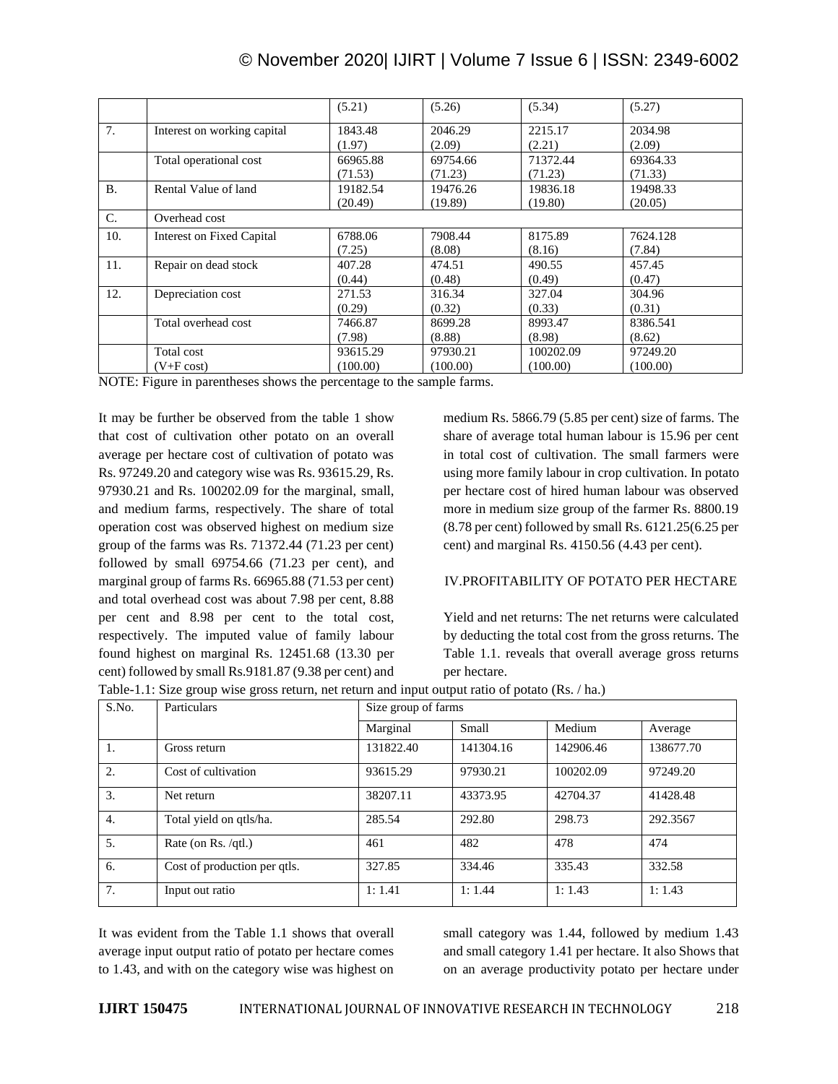|           |                                  | (5.21)   | (5.26)   | (5.34)    | (5.27)   |
|-----------|----------------------------------|----------|----------|-----------|----------|
| 7.        | Interest on working capital      | 1843.48  | 2046.29  | 2215.17   | 2034.98  |
|           |                                  | (1.97)   | (2.09)   | (2.21)    | (2.09)   |
|           | Total operational cost           | 66965.88 | 69754.66 | 71372.44  | 69364.33 |
|           |                                  | (71.53)  | (71.23)  | (71.23)   | (71.33)  |
| <b>B.</b> | Rental Value of land             | 19182.54 | 19476.26 | 19836.18  | 19498.33 |
|           |                                  | (20.49)  | (19.89)  | (19.80)   | (20.05)  |
| C.        | Overhead cost                    |          |          |           |          |
| 10.       | <b>Interest on Fixed Capital</b> | 6788.06  | 7908.44  | 8175.89   | 7624.128 |
|           |                                  | (7.25)   | (8.08)   | (8.16)    | (7.84)   |
| 11.       | Repair on dead stock             | 407.28   | 474.51   | 490.55    | 457.45   |
|           |                                  | (0.44)   | (0.48)   | (0.49)    | (0.47)   |
| 12.       | Depreciation cost                | 271.53   | 316.34   | 327.04    | 304.96   |
|           |                                  | (0.29)   | (0.32)   | (0.33)    | (0.31)   |
|           | Total overhead cost              | 7466.87  | 8699.28  | 8993.47   | 8386.541 |
|           |                                  | (7.98)   | (8.88)   | (8.98)    | (8.62)   |
|           | Total cost                       | 93615.29 | 97930.21 | 100202.09 | 97249.20 |
|           | $(V+F \cos t)$                   | (100.00) | (100.00) | (100.00)  | (100.00) |

# © November 2020| IJIRT | Volume 7 Issue 6 | ISSN: 2349-6002

NOTE: Figure in parentheses shows the percentage to the sample farms.

It may be further be observed from the table 1 show that cost of cultivation other potato on an overall average per hectare cost of cultivation of potato was Rs. 97249.20 and category wise was Rs. 93615.29, Rs. 97930.21 and Rs. 100202.09 for the marginal, small, and medium farms, respectively. The share of total operation cost was observed highest on medium size group of the farms was Rs. 71372.44 (71.23 per cent) followed by small 69754.66 (71.23 per cent), and marginal group of farms Rs. 66965.88 (71.53 per cent) and total overhead cost was about 7.98 per cent, 8.88 per cent and 8.98 per cent to the total cost, respectively. The imputed value of family labour found highest on marginal Rs. 12451.68 (13.30 per cent) followed by small Rs.9181.87 (9.38 per cent) and medium Rs. 5866.79 (5.85 per cent) size of farms. The share of average total human labour is 15.96 per cent in total cost of cultivation. The small farmers were using more family labour in crop cultivation. In potato per hectare cost of hired human labour was observed more in medium size group of the farmer Rs. 8800.19 (8.78 per cent) followed by small Rs. 6121.25(6.25 per cent) and marginal Rs. 4150.56 (4.43 per cent).

# IV.PROFITABILITY OF POTATO PER HECTARE

Yield and net returns: The net returns were calculated by deducting the total cost from the gross returns. The Table 1.1. reveals that overall average gross returns per hectare.

| Table-1.1: Size group wise gross return, net return and input output ratio of potato (Rs. / ha.) |  |  |  |  |
|--------------------------------------------------------------------------------------------------|--|--|--|--|
|                                                                                                  |  |  |  |  |

| S.No.            | Particulars                  | Size group of farms |           |           |           |  |
|------------------|------------------------------|---------------------|-----------|-----------|-----------|--|
|                  |                              | Marginal            | Small     | Medium    | Average   |  |
| 1.               | Gross return                 | 131822.40           | 141304.16 | 142906.46 | 138677.70 |  |
| $\overline{2}$ . | Cost of cultivation          | 93615.29            | 97930.21  | 100202.09 | 97249.20  |  |
| 3.               | Net return                   | 38207.11            | 43373.95  | 42704.37  | 41428.48  |  |
| 4.               | Total yield on qtls/ha.      | 285.54              | 292.80    | 298.73    | 292.3567  |  |
| 5.               | Rate (on Rs. $\sqrt{gt}$ ).  | 461                 | 482       | 478       | 474       |  |
| 6.               | Cost of production per qtls. | 327.85              | 334.46    | 335.43    | 332.58    |  |
| 7.               | Input out ratio              | 1:1.41              | 1:1.44    | 1:1.43    | 1:1.43    |  |

It was evident from the Table 1.1 shows that overall average input output ratio of potato per hectare comes to 1.43, and with on the category wise was highest on small category was 1.44, followed by medium 1.43 and small category 1.41 per hectare. It also Shows that on an average productivity potato per hectare under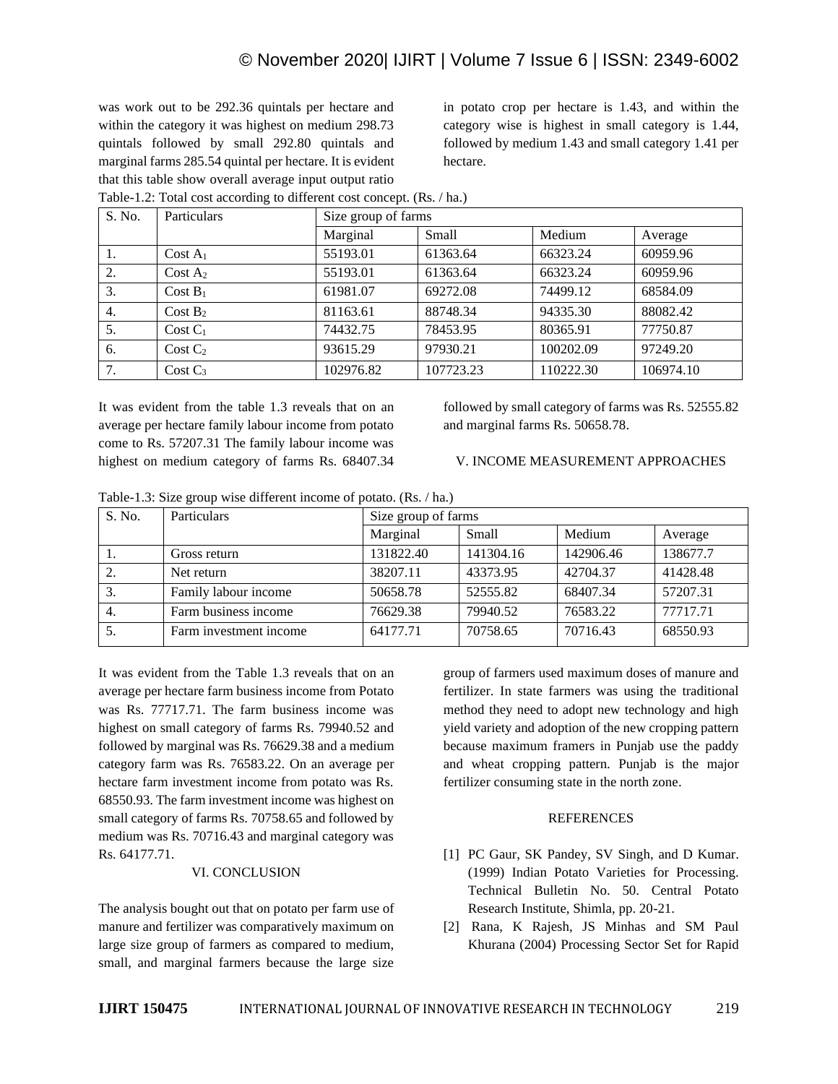was work out to be 292.36 quintals per hectare and within the category it was highest on medium 298.73 quintals followed by small 292.80 quintals and marginal farms 285.54 quintal per hectare. It is evident that this table show overall average input output ratio Table-1.2: Total cost according to different cost concept. (Rs. / ha.)

in potato crop per hectare is 1.43, and within the category wise is highest in small category is 1.44, followed by medium 1.43 and small category 1.41 per hectare.

| S. No. | Particulars         | Size group of farms |           |           |           |  |
|--------|---------------------|---------------------|-----------|-----------|-----------|--|
|        |                     | Marginal            | Small     | Medium    | Average   |  |
| 1.     | $Cost A_1$          | 55193.01            | 61363.64  | 66323.24  | 60959.96  |  |
| 2.     | Cost A <sub>2</sub> | 55193.01            | 61363.64  | 66323.24  | 60959.96  |  |
| 3.     | Cost $B_1$          | 61981.07            | 69272.08  | 74499.12  | 68584.09  |  |
| 4.     | Cost B <sub>2</sub> | 81163.61            | 88748.34  | 94335.30  | 88082.42  |  |
| 5.     | $Cost C_1$          | 74432.75            | 78453.95  | 80365.91  | 77750.87  |  |
| 6.     | Cost C <sub>2</sub> | 93615.29            | 97930.21  | 100202.09 | 97249.20  |  |
| 7.     | $Cost C_3$          | 102976.82           | 107723.23 | 110222.30 | 106974.10 |  |

It was evident from the table 1.3 reveals that on an average per hectare family labour income from potato come to Rs. 57207.31 The family labour income was

highest on medium category of farms Rs. 68407.34

followed by small category of farms was Rs. 52555.82 and marginal farms Rs. 50658.78.

## V. INCOME MEASUREMENT APPROACHES

| Table-1.3: Size group wise different income of potato. (Rs. / ha.) |  |
|--------------------------------------------------------------------|--|
|--------------------------------------------------------------------|--|

| S. No. | <b>Particulars</b>     | Size group of farms |           |           |          |  |
|--------|------------------------|---------------------|-----------|-----------|----------|--|
|        |                        | Marginal            | Small     | Medium    | Average  |  |
|        | Gross return           | 131822.40           | 141304.16 | 142906.46 | 138677.7 |  |
|        | Net return             | 38207.11            | 43373.95  | 42704.37  | 41428.48 |  |
|        | Family labour income   | 50658.78            | 52555.82  | 68407.34  | 57207.31 |  |
| 4.     | Farm business income   | 76629.38            | 79940.52  | 76583.22  | 77717.71 |  |
|        | Farm investment income | 64177.71            | 70758.65  | 70716.43  | 68550.93 |  |

It was evident from the Table 1.3 reveals that on an average per hectare farm business income from Potato was Rs. 77717.71. The farm business income was highest on small category of farms Rs. 79940.52 and followed by marginal was Rs. 76629.38 and a medium category farm was Rs. 76583.22. On an average per hectare farm investment income from potato was Rs. 68550.93. The farm investment income was highest on small category of farms Rs. 70758.65 and followed by medium was Rs. 70716.43 and marginal category was Rs. 64177.71.

# VI. CONCLUSION

The analysis bought out that on potato per farm use of manure and fertilizer was comparatively maximum on large size group of farmers as compared to medium, small, and marginal farmers because the large size

group of farmers used maximum doses of manure and fertilizer. In state farmers was using the traditional method they need to adopt new technology and high yield variety and adoption of the new cropping pattern because maximum framers in Punjab use the paddy and wheat cropping pattern. Punjab is the major fertilizer consuming state in the north zone.

# **REFERENCES**

- [1] PC Gaur, SK Pandey, SV Singh, and D Kumar. (1999) Indian Potato Varieties for Processing. Technical Bulletin No. 50. Central Potato Research Institute, Shimla, pp. 20-21.
- [2] Rana, K Rajesh, JS Minhas and SM Paul Khurana (2004) Processing Sector Set for Rapid